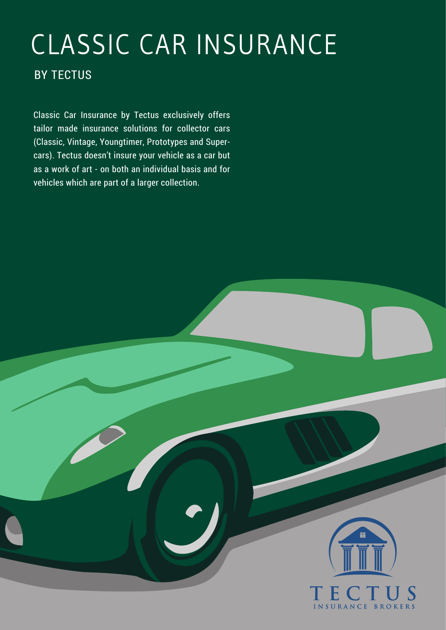# CLASSIC CAR INSURANCE

# BY TECTUS

Classic Car Insurance by Tectus exclusively offers tailor made insurance solutions for collector cars (Classic, Vintage, Youngtimer, Prototypes and Supercars). Tectus doesn't insure your vehicle as a car but as a work of art - on both an individual basis and for vehicles which are part of a larger collection.

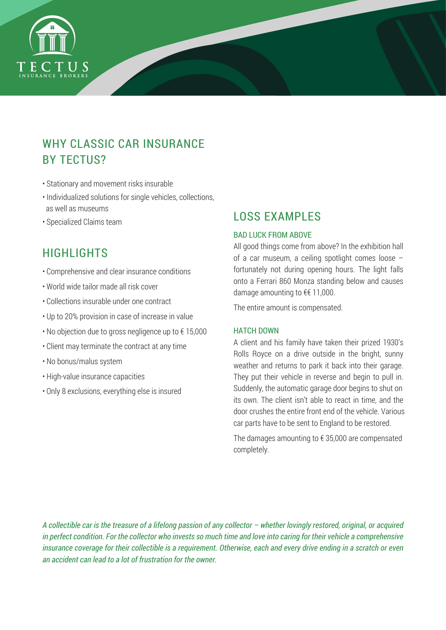

# WHY CLASSIC CAR INSURANCE BY TECTUS?

- Stationary and movement risks insurable
- Individualized solutions for single vehicles, collections, as well as museums
- Specialized Claims team

# HIGHLIGHTS

- Comprehensive and clear insurance conditions
- World wide tailor made all risk cover
- Collections insurable under one contract
- Up to 20% provision in case of increase in value
- No objection due to gross negligence up to € 15,000
- Client may terminate the contract at any time
- No bonus/malus system
- High-value insurance capacities
- Only 8 exclusions, everything else is insured

# LOSS EXAMPLES

## BAD LUCK FROM ABOVE

All good things come from above? In the exhibition hall of a car museum, a ceiling spotlight comes loose – fortunately not during opening hours. The light falls onto a Ferrari 860 Monza standing below and causes damage amounting to €€ 11,000.

The entire amount is compensated.

#### HATCH DOWN

A client and his family have taken their prized 1930's Rolls Royce on a drive outside in the bright, sunny weather and returns to park it back into their garage. They put their vehicle in reverse and begin to pull in. Suddenly, the automatic garage door begins to shut on its own. The client isn't able to react in time, and the door crushes the entire front end of the vehicle. Various car parts have to be sent to England to be restored.

The damages amounting to  $\epsilon$  35,000 are compensated completely.

*A collectible car is the treasure of a lifelong passion of any collector – whether lovingly restored, original, or acquired in perfect condition. For the collector who invests so much time and love into caring for their vehicle a comprehensive insurance coverage for their collectible is a requirement. Otherwise, each and every drive ending in a scratch or even an accident can lead to a lot of frustration for the owner.*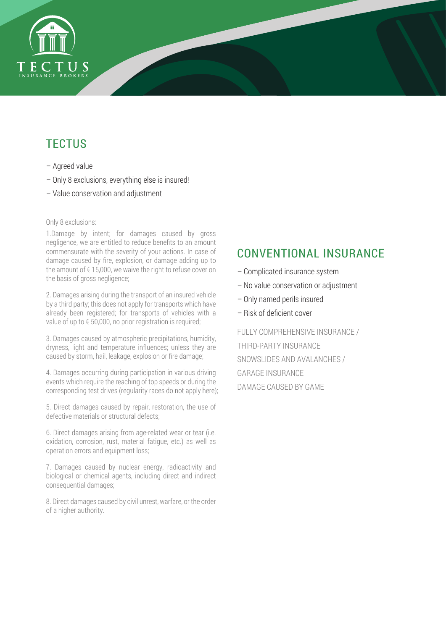

# **TECTUS**

- Agreed value
- Only 8 exclusions, everything else is insured!
- Value conservation and adjustment

#### Only 8 exclusions:

1.Damage by intent; for damages caused by gross negligence, we are entitled to reduce benefits to an amount commensurate with the severity of your actions. In case of damage caused by fire, explosion, or damage adding up to the amount of  $f$  15,000, we waive the right to refuse cover on the basis of gross negligence;

2. Damages arising during the transport of an insured vehicle by a third party; this does not apply for transports which have already been registered; for transports of vehicles with a value of up to € 50,000, no prior registration is required;

3. Damages caused by atmospheric precipitations, humidity, dryness, light and temperature influences; unless they are caused by storm, hail, leakage, explosion or fire damage;

4. Damages occurring during participation in various driving events which require the reaching of top speeds or during the corresponding test drives (regularity races do not apply here);

5. Direct damages caused by repair, restoration, the use of defective materials or structural defects;

6. Direct damages arising from age-related wear or tear (i.e. oxidation, corrosion, rust, material fatigue, etc.) as well as operation errors and equipment loss;

7. Damages caused by nuclear energy, radioactivity and biological or chemical agents, including direct and indirect consequential damages;

8. Direct damages caused by civil unrest, warfare, or the order of a higher authority.

# CONVENTIONAL INSURANCE

- Complicated insurance system
- No value conservation or adjustment
- Only named perils insured
- Risk of deficient cover

FULLY COMPREHENSIVE INSURANCE / THIRD-PARTY INSURANCE SNOWSLIDES AND AVALANCHES / GARAGE INSURANCE DAMAGE CAUSED BY GAME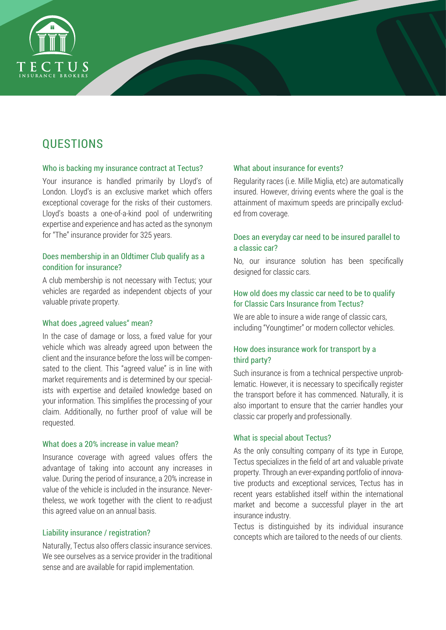

# **QUESTIONS**

#### Who is backing my insurance contract at Tectus?

Your insurance is handled primarily by Lloyd's of London. Lloyd's is an exclusive market which offers exceptional coverage for the risks of their customers. Lloyd's boasts a one-of-a-kind pool of underwriting expertise and experience and has acted as the synonym for "The" insurance provider for 325 years.

## Does membership in an Oldtimer Club qualify as a condition for insurance?

A club membership is not necessary with Tectus; your vehicles are regarded as independent objects of your valuable private property.

#### What does "agreed values" mean?

In the case of damage or loss, a fixed value for your vehicle which was already agreed upon between the client and the insurance before the loss will be compensated to the client. This "agreed value" is in line with market requirements and is determined by our specialists with expertise and detailed knowledge based on your information. This simplifies the processing of your claim. Additionally, no further proof of value will be requested.

#### What does a 20% increase in value mean?

Insurance coverage with agreed values offers the advantage of taking into account any increases in value. During the period of insurance, a 20% increase in value of the vehicle is included in the insurance. Nevertheless, we work together with the client to re-adjust this agreed value on an annual basis.

#### Liability insurance / registration?

Naturally, Tectus also offers classic insurance services. We see ourselves as a service provider in the traditional sense and are available for rapid implementation.

#### What about insurance for events?

Regularity races (i.e. Mille Miglia, etc) are automatically insured. However, driving events where the goal is the attainment of maximum speeds are principally excluded from coverage.

### Does an everyday car need to be insured parallel to a classic car?

No, our insurance solution has been specifically designed for classic cars.

## How old does my classic car need to be to qualify for Classic Cars Insurance from Tectus?

We are able to insure a wide range of classic cars. including "Youngtimer" or modern collector vehicles.

## How does insurance work for transport by a third party?

Such insurance is from a technical perspective unproblematic. However, it is necessary to specifically register the transport before it has commenced. Naturally, it is also important to ensure that the carrier handles your classic car properly and professionally.

## What is special about Tectus?

As the only consulting company of its type in Europe, Tectus specializes in the field of art and valuable private property. Through an ever-expanding portfolio of innovative products and exceptional services, Tectus has in recent years established itself within the international market and become a successful player in the art insurance industry.

Tectus is distinguished by its individual insurance concepts which are tailored to the needs of our clients.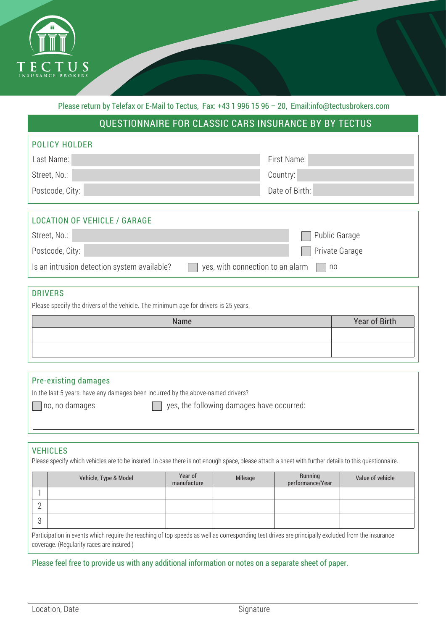

Please return by Telefax or E-Mail to Tectus, Fax: +43 1 996 15 96 – 20, Email:info@tectusbrokers.com

# QUESTIONNAIRE FOR CLASSIC CARS INSURANCE BY BY TECTUS

| <b>POLICY HOLDER</b>                                                                  |                      |  |  |  |  |
|---------------------------------------------------------------------------------------|----------------------|--|--|--|--|
| Last Name:                                                                            | First Name:          |  |  |  |  |
| Street, No.:                                                                          | Country:             |  |  |  |  |
| Postcode, City:                                                                       | Date of Birth:       |  |  |  |  |
|                                                                                       |                      |  |  |  |  |
| <b>LOCATION OF VEHICLE / GARAGE</b>                                                   |                      |  |  |  |  |
| Street, No.:                                                                          | <b>Public Garage</b> |  |  |  |  |
| Postcode, City:                                                                       | Private Garage       |  |  |  |  |
| yes, with connection to an alarm<br>Is an intrusion detection system available?<br>no |                      |  |  |  |  |

## DRIVERS

Please specify the drivers of the vehicle. The minimum age for drivers is 25 years.

| Name | <b>Year of Birth</b> |
|------|----------------------|
|      |                      |
|      |                      |
|      |                      |

#### Pre-existing damages

In the last 5 years, have any damages been incurred by the above-named drivers?

 $\Box$  no, no damages  $\Box$  yes, the following damages have occurred:

#### VEHICLES

Please specify which vehicles are to be insured. In case there is not enough space, please attach a sheet with further details to this questionnaire.

|   | Vehicle, Type & Model | Year of<br>manufacture | Mileage | Running<br>performance/Year | Value of vehicle |
|---|-----------------------|------------------------|---------|-----------------------------|------------------|
|   |                       |                        |         |                             |                  |
|   |                       |                        |         |                             |                  |
| ◡ |                       |                        |         |                             |                  |

Participation in events which require the reaching of top speeds as well as corresponding test drives are principally excluded from the insurance coverage. (Regularity races are insured.)

Please feel free to provide us with any additional information or notes on a separate sheet of paper.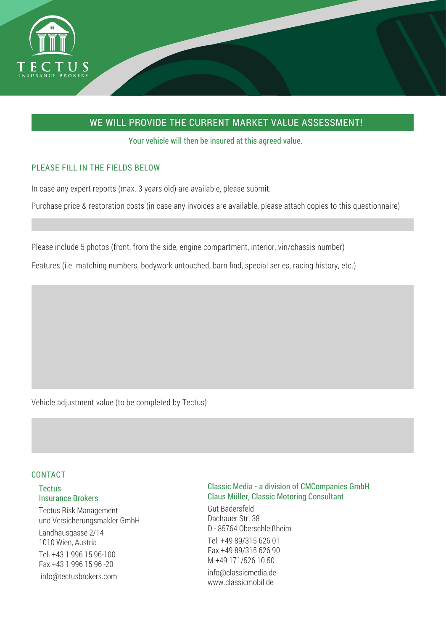

# WE WILL PROVIDE THE CURRENT MARKET VALUE ASSESSMENT!

Your vehicle will then be insured at this agreed value.

# PLEASE FILL IN THE FIELDS BELOW

In case any expert reports (max. 3 years old) are available, please submit.

Purchase price & restoration costs (in case any invoices are available, please attach copies to this questionnaire)

Please include 5 photos (front, from the side, engine compartment, interior, vin/chassis number)

Features (i.e. matching numbers, bodywork untouched, barn find, special series, racing history, etc.)

Vehicle adjustment value (to be completed by Tectus)

#### CONTACT

## **Tectus** Insurance Brokers

Tectus Risk Management und Versicherungsmakler GmbH Landhausgasse 2/14 1010 Wien, Austria Tel. +43 1 996 15 96-100 Fax +43 1 996 15 96 -20 info@tectusbrokers.com

## Classic Media - a division of CMCompanies GmbH Claus Müller, Classic Motoring Consultant

Gut Badersfeld Dachauer Str. 38 D - 85764 Oberschleißheim Tel. +49 89/315 626 01 Fax +49 89/315 626 90 M +49 171/526 10 50 info@classicmedia.de www.classicmobil.de